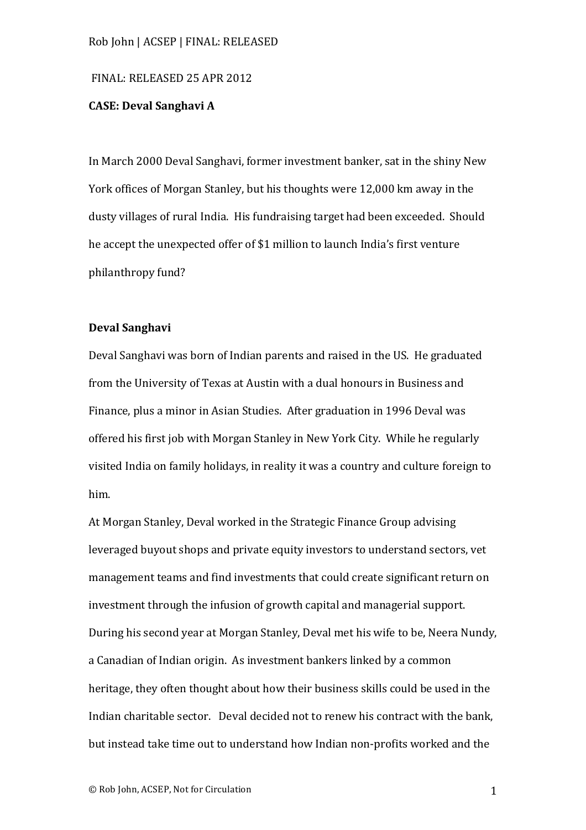#### FINAL: RELEASED 25 APR 2012

# **CASE: Deval Sanghavi A**

In March 2000 Deval Sanghavi, former investment banker, sat in the shiny New York offices of Morgan Stanley, but his thoughts were 12,000 km away in the dusty villages of rural India. His fundraising target had been exceeded. Should he accept the unexpected offer of \$1 million to launch India's first venture philanthropy fund?

### **Deval Sanghavi**

Deval Sanghavi was born of Indian parents and raised in the US. He graduated from the University of Texas at Austin with a dual honours in Business and Finance, plus a minor in Asian Studies. After graduation in 1996 Deval was offered his first job with Morgan Stanley in New York City. While he regularly visited India on family holidays, in reality it was a country and culture foreign to him. 

At Morgan Stanley, Deval worked in the Strategic Finance Group advising leveraged buyout shops and private equity investors to understand sectors, vet management teams and find investments that could create significant return on investment through the infusion of growth capital and managerial support. During his second year at Morgan Stanley, Deval met his wife to be, Neera Nundy, a Canadian of Indian origin. As investment bankers linked by a common heritage, they often thought about how their business skills could be used in the Indian charitable sector. Deval decided not to renew his contract with the bank, but instead take time out to understand how Indian non-profits worked and the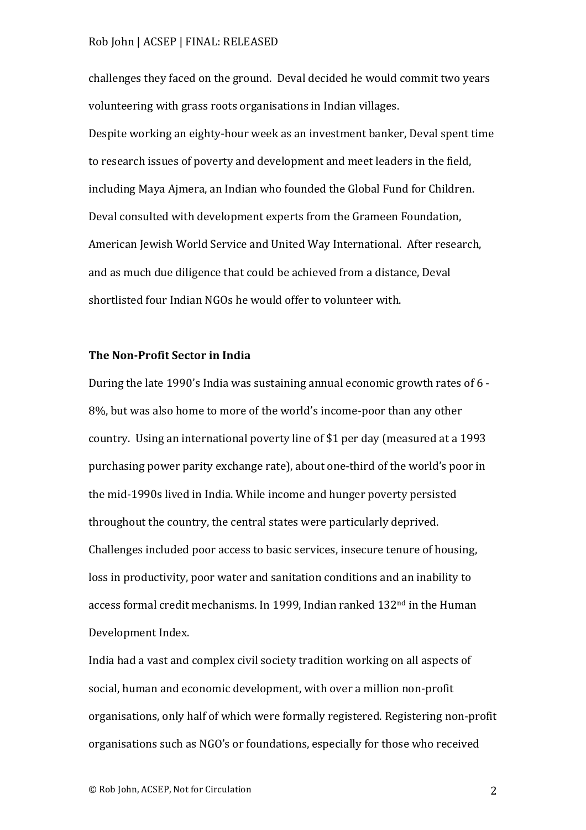challenges they faced on the ground. Deval decided he would commit two years volunteering with grass roots organisations in Indian villages. Despite working an eighty-hour week as an investment banker, Deval spent time to research issues of poverty and development and meet leaders in the field, including Maya Ajmera, an Indian who founded the Global Fund for Children. Deval consulted with development experts from the Grameen Foundation, American Jewish World Service and United Way International. After research, and as much due diligence that could be achieved from a distance, Deval

shortlisted four Indian NGOs he would offer to volunteer with.

### **The Non-Profit Sector in India**

During the late 1990's India was sustaining annual economic growth rates of  $6$  -8%, but was also home to more of the world's income-poor than any other country. Using an international poverty line of \$1 per day (measured at a 1993 purchasing power parity exchange rate), about one-third of the world's poor in the mid-1990s lived in India. While income and hunger poverty persisted throughout the country, the central states were particularly deprived. Challenges included poor access to basic services, insecure tenure of housing, loss in productivity, poor water and sanitation conditions and an inability to access formal credit mechanisms. In 1999, Indian ranked 132<sup>nd</sup> in the Human Development Index.

India had a vast and complex civil society tradition working on all aspects of social, human and economic development, with over a million non-profit organisations, only half of which were formally registered. Registering non-profit organisations such as NGO's or foundations, especially for those who received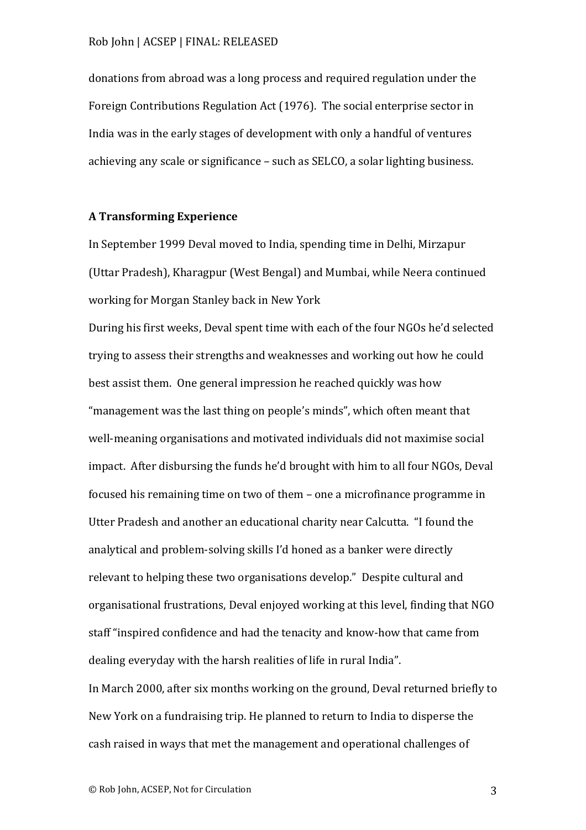donations from abroad was a long process and required regulation under the Foreign Contributions Regulation Act (1976). The social enterprise sector in India was in the early stages of development with only a handful of ventures achieving any scale or significance  $-$  such as SELCO, a solar lighting business.

# **A Transforming Experience**

In September 1999 Deval moved to India, spending time in Delhi, Mirzapur (Uttar Pradesh), Kharagpur (West Bengal) and Mumbai, while Neera continued working for Morgan Stanley back in New York

During his first weeks, Deval spent time with each of the four NGOs he'd selected trying to assess their strengths and weaknesses and working out how he could best assist them. One general impression he reached quickly was how "management was the last thing on people's minds", which often meant that well-meaning organisations and motivated individuals did not maximise social impact. After disbursing the funds he'd brought with him to all four NGOs, Deval focused his remaining time on two of them – one a microfinance programme in Utter Pradesh and another an educational charity near Calcutta. "I found the analytical and problem-solving skills I'd honed as a banker were directly relevant to helping these two organisations develop." Despite cultural and organisational frustrations, Deval enjoyed working at this level, finding that NGO staff "inspired confidence and had the tenacity and know-how that came from dealing everyday with the harsh realities of life in rural India".

In March 2000, after six months working on the ground, Deval returned briefly to New York on a fundraising trip. He planned to return to India to disperse the cash raised in ways that met the management and operational challenges of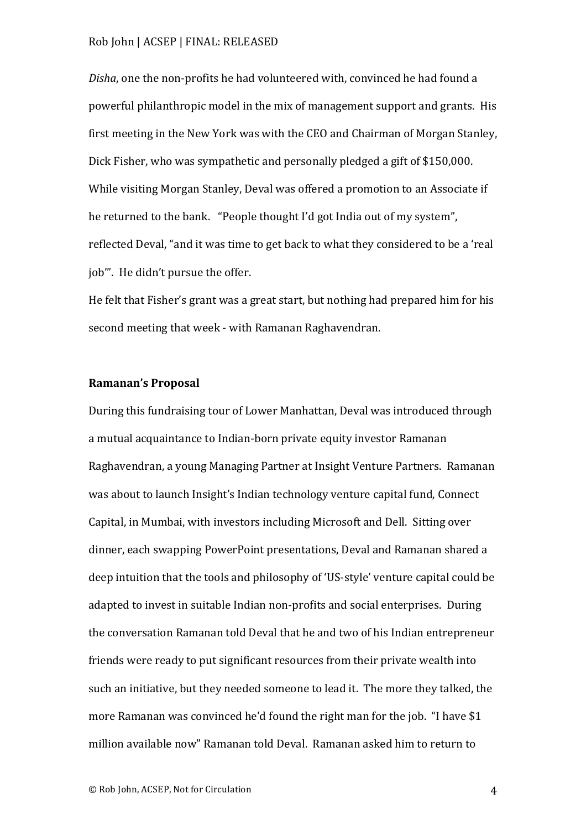*Disha*, one the non-profits he had volunteered with, convinced he had found a powerful philanthropic model in the mix of management support and grants. His first meeting in the New York was with the CEO and Chairman of Morgan Stanley, Dick Fisher, who was sympathetic and personally pledged a gift of \$150,000. While visiting Morgan Stanley, Deval was offered a promotion to an Associate if he returned to the bank. "People thought I'd got India out of my system", reflected Deval, "and it was time to get back to what they considered to be a 'real job". He didn't pursue the offer.

He felt that Fisher's grant was a great start, but nothing had prepared him for his second meeting that week - with Ramanan Raghavendran.

# **Ramanan's Proposal**

During this fundraising tour of Lower Manhattan, Deval was introduced through a mutual acquaintance to Indian-born private equity investor Ramanan Raghavendran, a young Managing Partner at Insight Venture Partners. Ramanan was about to launch Insight's Indian technology venture capital fund, Connect Capital, in Mumbai, with investors including Microsoft and Dell. Sitting over dinner, each swapping PowerPoint presentations, Deval and Ramanan shared a deep intuition that the tools and philosophy of 'US-style' venture capital could be adapted to invest in suitable Indian non-profits and social enterprises. During the conversation Ramanan told Deval that he and two of his Indian entrepreneur friends were ready to put significant resources from their private wealth into such an initiative, but they needed someone to lead it. The more they talked, the more Ramanan was convinced he'd found the right man for the job. "I have \$1 million available now" Ramanan told Deval. Ramanan asked him to return to